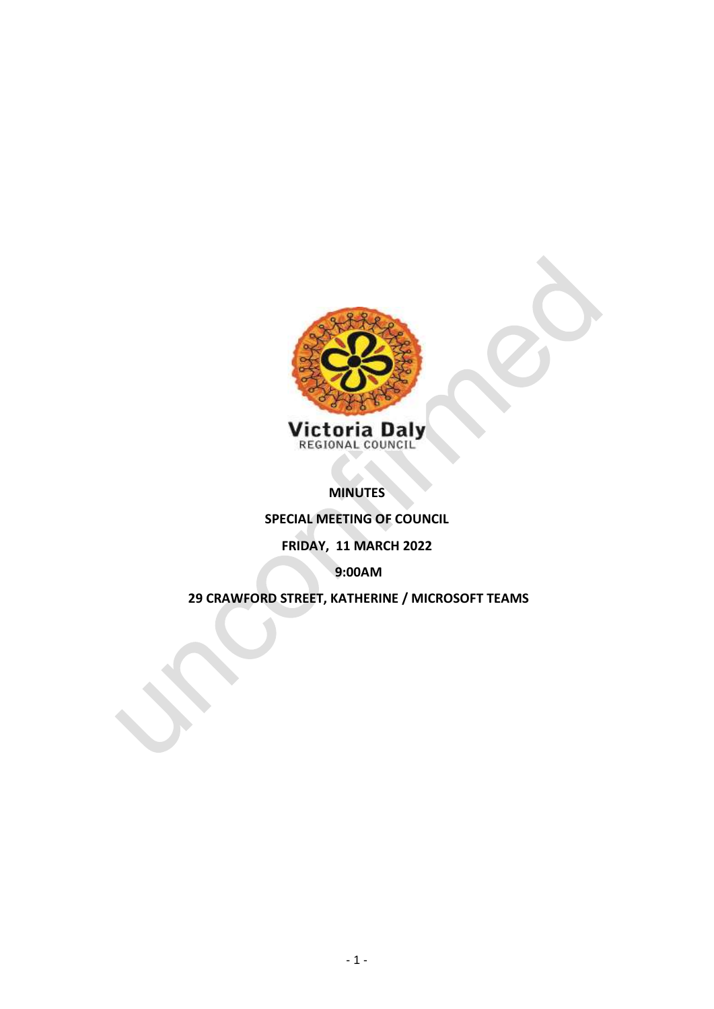

**MINUTES** 

**SPECIAL MEETING OF COUNCIL**

**FRIDAY, 11 MARCH 2022**

**9:00AM**

**29 CRAWFORD STREET, KATHERINE / MICROSOFT TEAMS**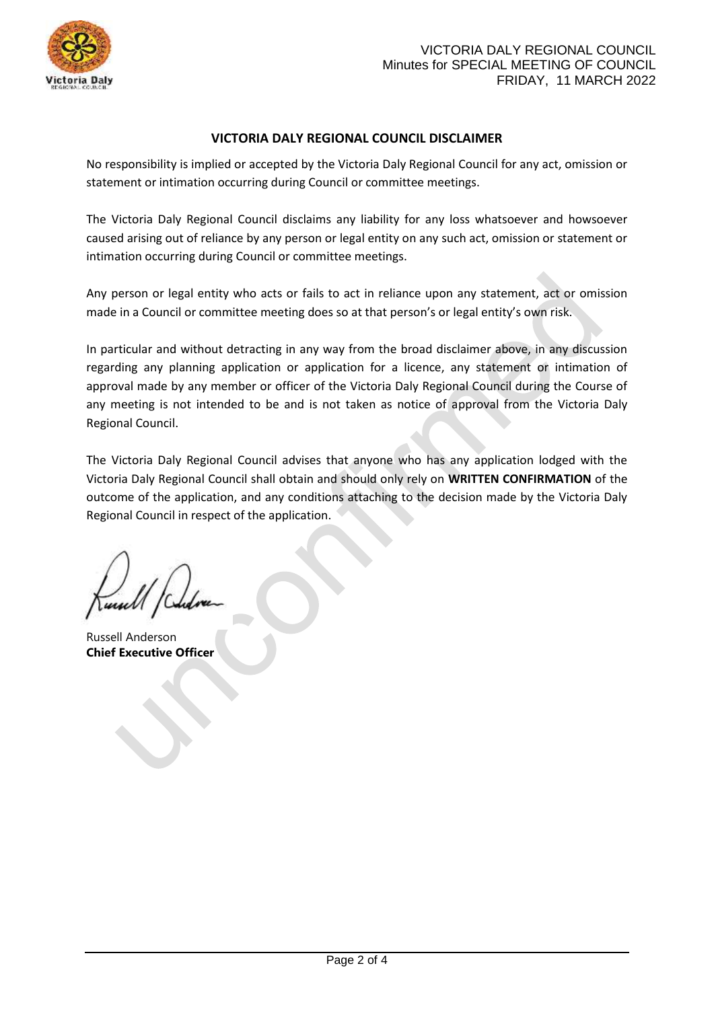

# **VICTORIA DALY REGIONAL COUNCIL DISCLAIMER**

No responsibility is implied or accepted by the Victoria Daly Regional Council for any act, omission or statement or intimation occurring during Council or committee meetings.

The Victoria Daly Regional Council disclaims any liability for any loss whatsoever and howsoever caused arising out of reliance by any person or legal entity on any such act, omission or statement or intimation occurring during Council or committee meetings.

Any person or legal entity who acts or fails to act in reliance upon any statement, act or omission made in a Council or committee meeting does so at that person's or legal entity's own risk.

In particular and without detracting in any way from the broad disclaimer above, in any discussion regarding any planning application or application for a licence, any statement or intimation of approval made by any member or officer of the Victoria Daly Regional Council during the Course of any meeting is not intended to be and is not taken as notice of approval from the Victoria Daly Regional Council.

The Victoria Daly Regional Council advises that anyone who has any application lodged with the Victoria Daly Regional Council shall obtain and should only rely on **WRITTEN CONFIRMATION** of the outcome of the application, and any conditions attaching to the decision made by the Victoria Daly Regional Council in respect of the application.

Russell Anderson **Chief Executive Officer**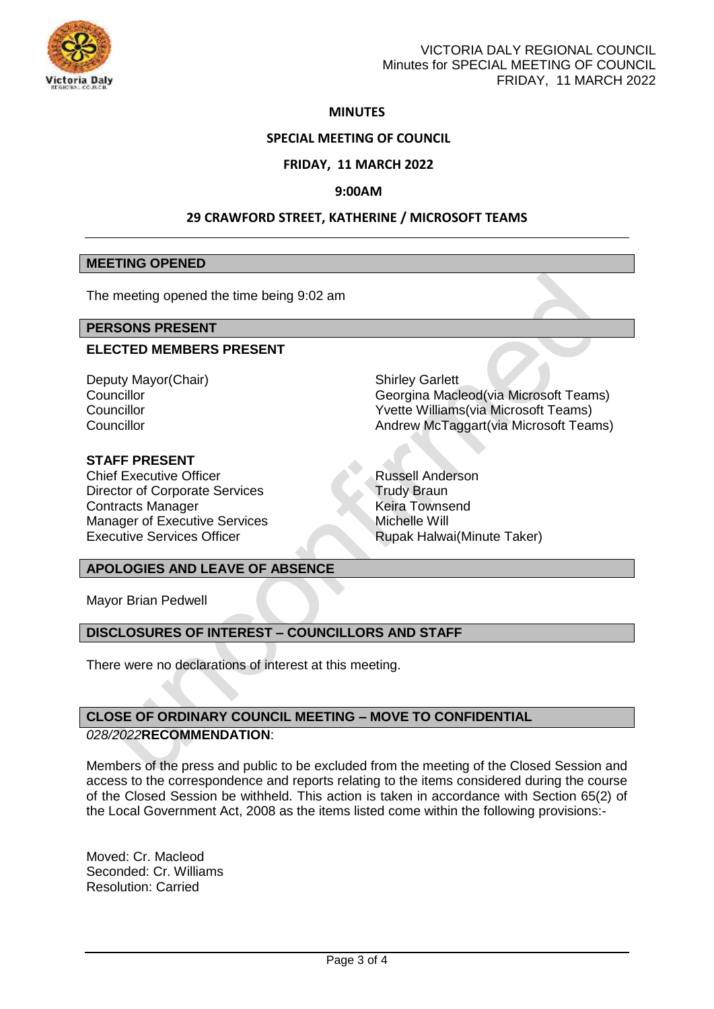

## **MINUTES**

#### **SPECIAL MEETING OF COUNCIL**

## **FRIDAY, 11 MARCH 2022**

#### **9:00AM**

#### **29 CRAWFORD STREET, KATHERINE / MICROSOFT TEAMS**

#### **MEETING OPENED**

The meeting opened the time being 9:02 am

#### **PERSONS PRESENT**

# **ELECTED MEMBERS PRESENT**

Deputy Mayor(Chair) Shirley Garlett

# **STAFF PRESENT**

Chief Executive Officer Russell Anderson Director of Corporate Services<br>
Contracts Manager<br>
Contracts Manager<br>
Contracts Manager<br>
Contracts Manager<br>
Contracts Manager<br>
Contracts Manager<br>
Contracts Manager<br>
Contracts Manager<br>
Contracts Manager<br>
Contracts Manager<br> Contracts Manager Manager of Executive Services<br>
Executive Services Officer<br>
Rupak Halwa

Councillor Georgina Macleod(via Microsoft Teams) Councillor Yvette Williams(via Microsoft Teams) Councillor Councillor Councillor Councillor

Rupak Halwai(Minute Taker)

#### **APOLOGIES AND LEAVE OF ABSENCE**

Mayor Brian Pedwell

**DISCLOSURES OF INTEREST – COUNCILLORS AND STAFF**

There were no declarations of interest at this meeting.

# **CLOSE OF ORDINARY COUNCIL MEETING – MOVE TO CONFIDENTIAL** *028/2022***RECOMMENDATION**:

Members of the press and public to be excluded from the meeting of the Closed Session and access to the correspondence and reports relating to the items considered during the course of the Closed Session be withheld. This action is taken in accordance with Section 65(2) of the Local Government Act, 2008 as the items listed come within the following provisions:-

Moved: Cr. Macleod Seconded: Cr. Williams Resolution: Carried